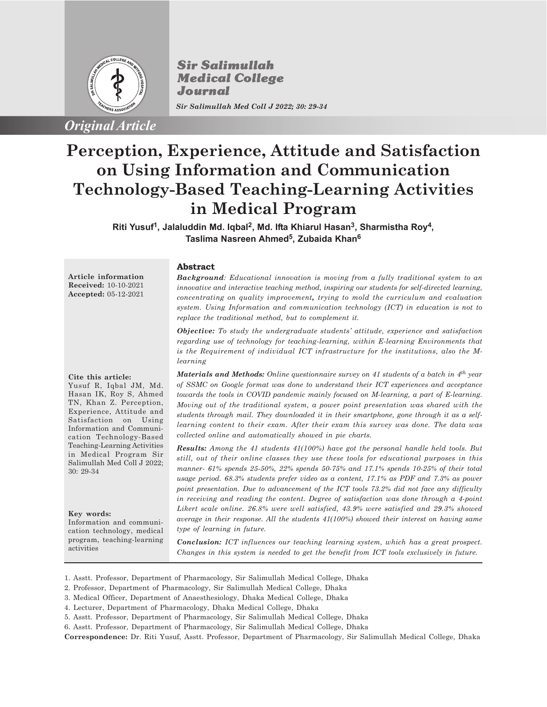

*Original Article*

**Sir Salimullah Medical College** Journal *Sir Salimullah Med Coll J 2022; 30: 29-34*

# **Perception, Experience, Attitude and Satisfaction on Using Information and Communication Technology-Based Teaching-Learning Activities in Medical Program**

Riti Yusuf<sup>1</sup>, Jalaluddin Md. Iqbal<sup>2</sup>, Md. Ifta Khiarul Hasan<sup>3</sup>, Sharmistha Roy<sup>4</sup>, **Taslima Nasreen Ahmed<sup>5</sup> , Zubaida Khan<sup>6</sup>**

#### **Abstract**

*Background: Educational innovation is moving from a fully traditional system to an innovative and interactive teaching method, inspiring our students for self-directed learning, concentrating on quality improvement, trying to mold the curriculum and evaluation system. Using Information and communication technology (ICT) in education is not to replace the traditional method, but to complement it.*

*Objective: To study the undergraduate students' attitude, experience and satisfaction regarding use of technology for teaching-learning, within E-learning Environments that is the Requirement of individual ICT infrastructure for the institutions, also the Mlearning*

#### *Materials and Methods: Online questionnaire survey on 41 students of a batch in 4th year of SSMC on Google format was done to understand their ICT experiences and acceptance towards the tools in COVID pandemic mainly focused on M-learning, a part of E-learning. Moving out of the traditional system, a power point presentation was shared with the students through mail. They downloaded it in their smartphone, gone through it as a selflearning content to their exam. After their exam this survey was done. The data was*

*collected online and automatically showed in pie charts.*

*Results: Among the 41 students 41(100%) have got the personal handle held tools. But still, out of their online classes they use these tools for educational purposes in this manner- 61% spends 25-50%, 22% spends 50-75% and 17.1% spends 10-25% of their total usage period. 68.3% students prefer video as a content, 17.1% as PDF and 7.3% as power point presentation. Due to advancement of the ICT tools 73.2% did not face any difficulty in receiving and reading the content. Degree of satisfaction was done through a 4-point Likert scale online. 26.8% were well satisfied, 43.9% were satisfied and 29.3% showed average in their response. All the students 41(100%) showed their interest on having same type of learning in future.*

*Conclusion: ICT influences our teaching learning system, which has a great prospect. Changes in this system is needed to get the benefit from ICT tools exclusively in future.*

- 1. Asstt. Professor, Department of Pharmacology, Sir Salimullah Medical College, Dhaka
- 2. Professor, Department of Pharmacology, Sir Salimullah Medical College, Dhaka
- 3. Medical Officer, Department of Anaesthesiology, Dhaka Medical College, Dhaka
- 4. Lecturer, Department of Pharmacology, Dhaka Medical College, Dhaka
- 5. Asstt. Professor, Department of Pharmacology, Sir Salimullah Medical College, Dhaka
- 6. Asstt. Professor, Department of Pharmacology, Sir Salimullah Medical College, Dhaka

**Correspondence:** Dr. Riti Yusuf, Asstt. Professor, Department of Pharmacology, Sir Salimullah Medical College, Dhaka

#### **Cite this article:**

**Article information Received:** 10-10-2021 **Accepted:** 05-12-2021

Yusuf R, Iqbal JM, Md. Hasan IK, Roy S, Ahmed TN, Khan Z. Perception, Experience, Attitude and Satisfaction on Using Information and Communication Technology-Based Teaching-Learning Activities in Medical Program Sir Salimullah Med Coll J 2022; 30: 29-34

#### **Key words:**

Information and communication technology, medical program, teaching-learning activities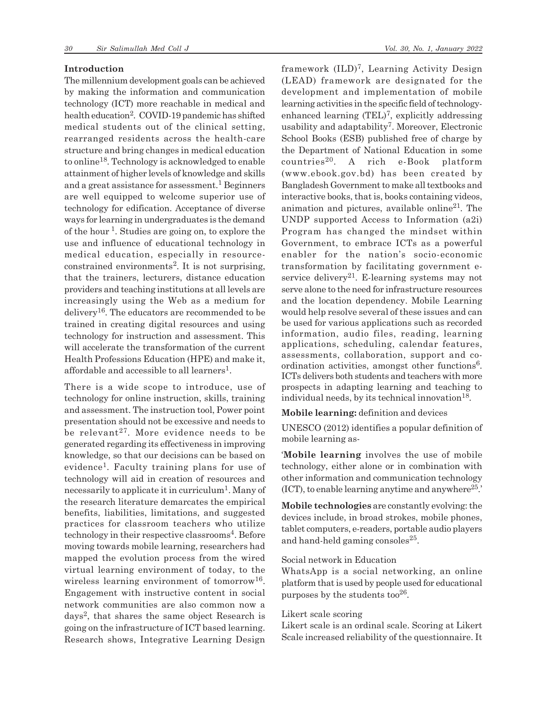The millennium development goals can be achieved by making the information and communication technology (ICT) more reachable in medical and health education<sup>2</sup>. COVID-19 pandemic has shifted medical students out of the clinical setting, rearranged residents across the health-care structure and bring changes in medical education to online18. Technology is acknowledged to enable attainment of higher levels of knowledge and skills and a great assistance for assessment.<sup>1</sup> Beginners are well equipped to welcome superior use of technology for edification. Acceptance of diverse ways for learning in undergraduates is the demand of the hour<sup>1</sup>. Studies are going on, to explore the use and influence of educational technology in medical education, especially in resourceconstrained environments<sup>2</sup>. It is not surprising, that the trainers, lecturers, distance education providers and teaching institutions at all levels are increasingly using the Web as a medium for delivery16. The educators are recommended to be trained in creating digital resources and using technology for instruction and assessment. This will accelerate the transformation of the current Health Professions Education (HPE) and make it, affordable and accessible to all learners<sup>1</sup>.

There is a wide scope to introduce, use of technology for online instruction, skills, training and assessment. The instruction tool, Power point presentation should not be excessive and needs to be relevant<sup>27</sup>. More evidence needs to be generated regarding its effectiveness in improving knowledge, so that our decisions can be based on evidence<sup>1</sup>. Faculty training plans for use of technology will aid in creation of resources and necessarily to applicate it in curriculum<sup>1</sup>. Many of the research literature demarcates the empirical benefits, liabilities, limitations, and suggested practices for classroom teachers who utilize technology in their respective classrooms<sup>4</sup>. Before moving towards mobile learning, researchers had mapped the evolution process from the wired virtual learning environment of today, to the wireless learning environment of tomorrow<sup>16</sup>. Engagement with instructive content in social network communities are also common now a days<sup>2</sup> , that shares the same object Research is going on the infrastructure of ICT based learning. Research shows, Integrative Learning Design

framework (ILD)<sup>7</sup>, Learning Activity Design (LEAD) framework are designated for the development and implementation of mobile learning activities in the specific field of technologyenhanced learning (TEL)<sup>7</sup>, explicitly addressing usability and adaptability<sup>7</sup>. Moreover, Electronic School Books (ESB) published free of charge by the Department of National Education in some countries20. A rich e-Book platform (www.ebook.gov.bd) has been created by Bangladesh Government to make all textbooks and interactive books, that is, books containing videos, animation and pictures, available online<sup>21</sup>. The UNDP supported Access to Information (a2i) Program has changed the mindset within Government, to embrace ICTs as a powerful enabler for the nation's socio-economic transformation by facilitating government eservice delivery<sup>21</sup>. E-learning systems may not serve alone to the need for infrastructure resources and the location dependency. Mobile Learning would help resolve several of these issues and can be used for various applications such as recorded information, audio files, reading, learning applications, scheduling, calendar features, assessments, collaboration, support and coordination activities, amongst other functions<sup>6</sup>. ICTs delivers both students and teachers with more prospects in adapting learning and teaching to individual needs, by its technical innovation $^{18}$ .

## **Mobile learning:** definition and devices

UNESCO (2012) identifies a popular definition of mobile learning as-

'**Mobile learning** involves the use of mobile technology, either alone or in combination with other information and communication technology (ICT), to enable learning anytime and anywhere<sup>25</sup>.

**Mobile technologies** are constantly evolving: the devices include, in broad strokes, mobile phones, tablet computers, e-readers, portable audio players and hand-held gaming consoles<sup>25</sup>.

### Social network in Education

WhatsApp is a social networking, an online platform that is used by people used for educational purposes by the students too $26$ .

#### Likert scale scoring

Likert scale is an ordinal scale. Scoring at Likert Scale increased reliability of the questionnaire. It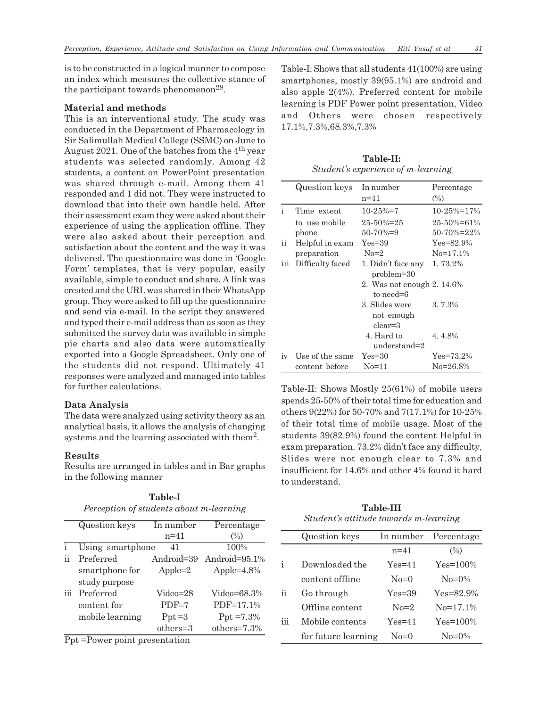is to be constructed in a logical manner to compose an index which measures the collective stance of the participant towards phenomenon<sup>28</sup>.

#### **Material and methods**

This is an interventional study. The study was conducted in the Department of Pharmacology in Sir Salimullah Medical College (SSMC) on June to August 2021. One of the batches from the  $4<sup>th</sup>$  year students was selected randomly. Among 42 students, a content on PowerPoint presentation was shared through e-mail. Among them 41 responded and 1 did not. They were instructed to download that into their own handle held. After their assessment exam they were asked about their experience of using the application offline. They were also asked about their perception and satisfaction about the content and the way it was delivered. The questionnaire was done in 'Google Form' templates, that is very popular, easily available, simple to conduct and share. A link was created and the URL was shared in their WhatsApp group. They were asked to fill up the questionnaire and send via e-mail. In the script they answered and typed their e-mail address than as soon as they submitted the survey data was available in simple pie charts and also data were automatically exported into a Google Spreadsheet. Only one of the students did not respond. Ultimately 41 responses were analyzed and managed into tables for further calculations.

#### **Data Analysis**

The data were analyzed using activity theory as an analytical basis, it allows the analysis of changing systems and the learning associated with them<sup>2</sup>.

## **Results**

Results are arranged in tables and in Bar graphs in the following manner

**Table-I** *Perception of students about m-learning*

|     | Question keys    | In number     | Percentage        |
|-----|------------------|---------------|-------------------|
|     |                  | $n = 41$      | (%)               |
| i   | Using smartphone | 41            | 100%              |
| ij  | Preferred        | Android=39    | Android= $95.1\%$ |
|     | smartphone for   | $Apple=2$     | Apple= $4.8\%$    |
|     | study purpose    |               |                   |
| iii | Preferred        | Video=28      | Video=68.3%       |
|     | content for      | $PDF=7$       | PDF=17.1%         |
|     | mobile learning  | $\rm Ppt = 3$ | $Ppt = 7.3\%$     |
|     |                  | $others = 3$  | others= $7.3\%$   |

Ppt =Power point presentation

Table-I: Shows that all students 41(100%) are using smartphones, mostly 39(95.1%) are android and also apple 2(4%). Preferred content for mobile learning is PDF Power point presentation, Video and Others were chosen respectively 17.1%,7.3%,68.3%,7.3%

|     | Question keys    | In number                  | Percentage     |
|-----|------------------|----------------------------|----------------|
|     |                  | $n = 41$                   | $(\%)$         |
| i   | Time extent      | $10-25% = 7$               | 10-25%=17%     |
|     | to use mobile    | 25-50%=25                  | 25-50%=61%     |
|     | phone            | $50 - 70\% = 9$            | 50-70%=22%     |
| ii. | Helpful in exam  | $Yes = 39$                 | $Yes = 82.9\%$ |
|     | preparation      | $No=2$                     | $No = 17.1\%$  |
| iii | Difficulty faced | 1. Didn't face any         | 1.73.2%        |
|     |                  | $problem=30$               |                |
|     |                  | 2. Was not enough 2. 14.6% |                |
|     |                  | to need= $6$               |                |
|     |                  | 3. Slides were             | 3.7.3%         |
|     |                  | not enough                 |                |
|     |                  | clear=3                    |                |
|     |                  | 4. Hard to                 | 4.4.8%         |
|     |                  | understand=2               |                |
| iv  | Use of the same  | $Yes=30$                   | $Yes = 73.2\%$ |
|     | content before   | $No=11$                    | No=26.8%       |

**Table-II:** *Student's experience of m-learning*

Table-II: Shows Mostly 25(61%) of mobile users spends 25-50% of their total time for education and others 9(22%) for 50-70% and 7(17.1%) for 10-25% of their total time of mobile usage. Most of the students 39(82.9%) found the content Helpful in exam preparation. 73.2% didn't face any difficulty, Slides were not enough clear to 7.3% and insufficient for 14.6% and other 4% found it hard to understand.

**Table-III** *Student's attitude towards m-learning*

|     | Question keys       | In number  | Percentage     |
|-----|---------------------|------------|----------------|
|     |                     | $n = 41$   | $(\%)$         |
| i   | Downloaded the      | $Yes=41$   | $Yes=100\%$    |
|     | content offline     | $No=0$     | $No = 0\%$     |
| ij  | Go through          | $Yes = 39$ | $Yes = 82.9\%$ |
|     | Offline content     | $No=2$     | $No = 17.1\%$  |
| iii | Mobile contents     | $Yes=41$   | $Yes=100\%$    |
|     | for future learning | $No=0$     | $No = 0\%$     |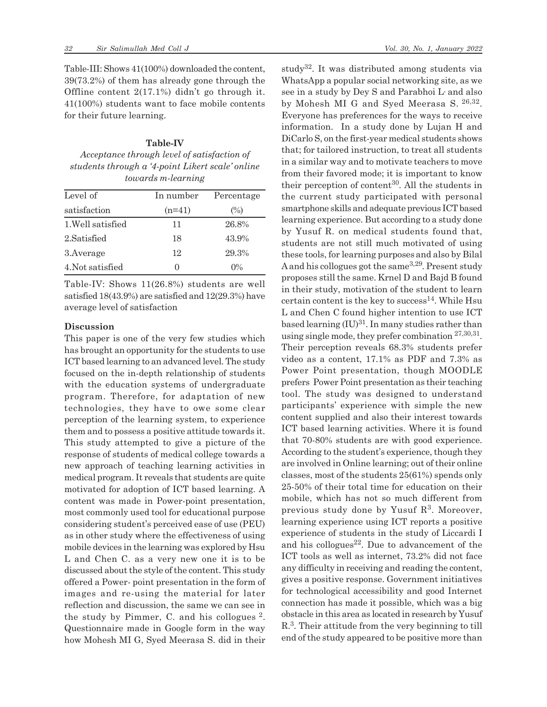Table-III: Shows 41(100%) downloaded the content, 39(73.2%) of them has already gone through the Offline content 2(17.1%) didn't go through it. 41(100%) students want to face mobile contents for their future learning.

# **Table-IV** *Acceptance through level of satisfaction of students through a '4-point Likert scale' online towards m-learning*

| Level of          | In number | Percentage |
|-------------------|-----------|------------|
| satisfaction      | $(n=41)$  | $(\%)$     |
| 1. Well satisfied | 11        | 26.8%      |
| 2. Satisfied      | 18        | 43.9%      |
| 3. Average        | 12        | 29.3%      |
| 4. Not satisfied  | 0         | $0\%$      |

Table-IV: Shows 11(26.8%) students are well satisfied 18(43.9%) are satisfied and 12(29.3%) have average level of satisfaction

### **Discussion**

This paper is one of the very few studies which has brought an opportunity for the students to use ICT based learning to an advanced level. The study focused on the in-depth relationship of students with the education systems of undergraduate program. Therefore, for adaptation of new technologies, they have to owe some clear perception of the learning system, to experience them and to possess a positive attitude towards it. This study attempted to give a picture of the response of students of medical college towards a new approach of teaching learning activities in medical program. It reveals that students are quite motivated for adoption of ICT based learning. A content was made in Power-point presentation, most commonly used tool for educational purpose considering student's perceived ease of use (PEU) as in other study where the effectiveness of using mobile devices in the learning was explored by Hsu L and Chen C. as a very new one it is to be discussed about the style of the content. This study offered a Power- point presentation in the form of images and re-using the material for later reflection and discussion, the same we can see in the study by Pimmer, C. and his collogues  $2$ . Questionnaire made in Google form in the way how Mohesh MI G, Syed Meerasa S. did in their study32. It was distributed among students via WhatsApp a popular social networking site, as we see in a study by Dey S and Parabhoi  $L$  and also by Mohesh MI G and Syed Meerasa S. 26,32 . Everyone has preferences for the ways to receive information. In a study done by Lujan H and DiCarlo S, on the first-year medical students shows that; for tailored instruction, to treat all students in a similar way and to motivate teachers to move from their favored mode; it is important to know their perception of content<sup>30</sup>. All the students in the current study participated with personal smartphone skills and adequate previous ICT based learning experience. But according to a study done by Yusuf R. on medical students found that, students are not still much motivated of using these tools, for learning purposesand also by Bilal Aand his collogues got the same3,29. Present study proposes still the same. Krnel D and Bajd B found in their study, motivation of the student to learn certain content is the key to success<sup>14</sup>. While Hsu L and Chen C found higher intention to use ICT based learning  $(IU)^{31}$ . In many studies rather than using single mode, they prefer combination <sup>27,30,31</sup>. Their perception reveals 68.3% students prefer video as a content, 17.1% as PDF and 7.3% as Power Point presentation, though MOODLE prefers Power Point presentation as their teaching tool. The study was designed to understand participants' experience with simple the new content supplied and also their interest towards ICT based learning activities. Where it is found that 70-80% students are with good experience. According to the student's experience, though they are involved in Online learning; out of their online classes, most of the students 25(61%) spends only 25-50% of their total time for education on their mobile, which has not so much different from previous study done by Yusuf R<sup>3</sup>. Moreover, learning experience using ICT reports a positive experience of students in the study of Liccardi I and his collogues $^{22}$ . Due to advancement of the ICT tools as well as internet, 73.2% did not face any difficulty in receiving and reading the content, gives a positive response. Government initiatives for technological accessibility and good Internet connection has made it possible, which was a big obstacle in this area as located in research by Yusuf R.<sup>3</sup> . Their attitude from the very beginning to till end of the study appeared to be positive more than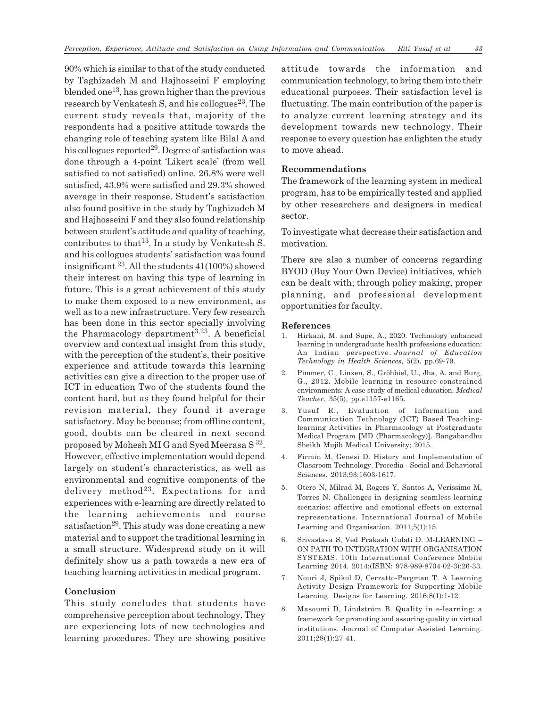90% which is similar to that of the study conducted by Taghizadeh M and Hajhosseini F employing blended one<sup>13</sup>, has grown higher than the previous research by Venkatesh S, and his collogues<sup>23</sup>. The current study reveals that, majority of the respondents had a positive attitude towards the changing role of teaching system like Bilal A and his collogues reported<sup>29</sup>. Degree of satisfaction was done through a 4-point 'Likert scale' (from well satisfied to not satisfied) online. 26.8% were well satisfied, 43.9% were satisfied and 29.3% showed average in their response. Student's satisfaction also found positive in the study by Taghizadeh M and Hajhosseini F and they also found relationship between student's attitude and quality of teaching, contributes to that<sup>13</sup>. In a study by Venkatesh S. and his collogues students' satisfaction was found insignificant 23. All the students 41(100%) showed their interest on having this type of learning in future. This is a great achievement of this study to make them exposed to a new environment, as well as to a new infrastructure. Very few research has been done in this sector specially involving the Pharmacology department<sup>3,23</sup>. A beneficial overview and contextual insight from this study, with the perception of the student's, their positive experience and attitude towards this learning activities can give a direction to the proper use of ICT in education Two of the students found the content hard, but as they found helpful for their revision material, they found it average satisfactory. May be because; from offline content, good, doubts can be cleared in next second proposed by Mohesh MI G and Syed Meerasa S<sup>32</sup>. However, effective implementation would depend largely on student's characteristics, as well as environmental and cognitive components of the delivery method<sup>23</sup>. Expectations for and experiences with e-learning are directly related to the learning achievements and course satisfaction<sup>29</sup>. This study was done creating a new material and to support the traditional learning in a small structure. Widespread study on it will definitely show us a path towards a new era of teaching learning activities in medical program.

### **Conclusion**

This study concludes that students have comprehensive perception about technology. They are experiencing lots of new technologies and learning procedures. They are showing positive attitude towards the information and communication technology, to bring them into their educational purposes. Their satisfaction level is fluctuating. The main contribution of the paper is to analyze current learning strategy and its development towards new technology. Their response to every question has enlighten the study to move ahead.

#### **Recommendations**

The framework of the learning system in medical program, has to be empirically tested and applied by other researchers and designers in medical sector.

To investigate what decrease their satisfaction and motivation.

There are also a number of concerns regarding BYOD (Buy Your Own Device) initiatives, which can be dealt with; through policy making, proper planning, and professional development opportunities for faculty.

#### **References**

- 1. Hirkani, M. and Supe, A., 2020. Technology enhanced learning in undergraduate health professions education: An Indian perspective. *Journal of Education Technology in Health Sciences*, 5(2), pp.69-79.
- 2. Pimmer, C., Linxen, S., Gröhbiel, U., Jha, A. and Burg, G., 2012. Mobile learning in resource-constrained environments: A case study of medical education. *Medical Teacher*, 35(5), pp.e1157-e1165.
- 3. Yusuf R., Evaluation of Information and Communication Technology (ICT) Based Teachinglearning Activities in Pharmacology at Postgraduate Medical Program [MD (Pharmacology)]. Bangabandhu Sheikh Mujib Medical University; 2015.
- 4. Firmin M, Genesi D. History and Implementation of Classroom Technology. Procedia - Social and Behavioral Sciences. 2013;93:1603-1617.
- 5. Otero N, Milrad M, Rogers Y, Santos A, Verissimo M, Torres N. Challenges in designing seamless-learning scenarios: affective and emotional effects on external representations. International Journal of Mobile Learning and Organisation. 2011;5(1):15.
- 6. Srivastava S, Ved Prakash Gulati D. M-LEARNING ON PATH TO INTEGRATION WITH ORGANISATION SYSTEMS. 10th International Conference Mobile Learning 2014. 2014;(ISBN: 978-989-8704-02-3):26-33.
- 7. Nouri J, Spikol D, Cerratto-Pargman T. A Learning Activity Design Framework for Supporting Mobile Learning. Designs for Learning. 2016;8(1):1-12.
- 8. Masoumi D, Lindström B. Quality in e-learning: a framework for promoting and assuring quality in virtual institutions. Journal of Computer Assisted Learning. 2011;28(1):27-41.